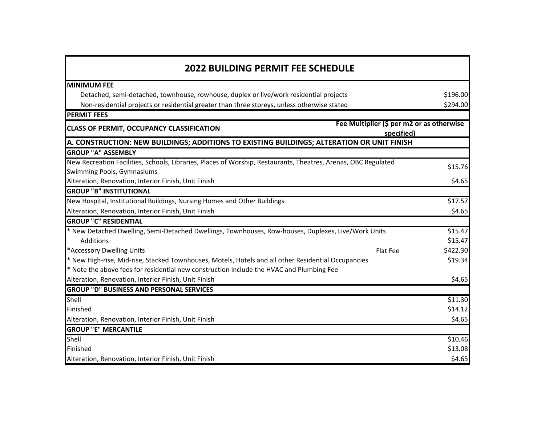| <b>2022 BUILDING PERMIT FEE SCHEDULE</b>                                                                       |                                                         |          |  |
|----------------------------------------------------------------------------------------------------------------|---------------------------------------------------------|----------|--|
| <b>MINIMUM FEE</b>                                                                                             |                                                         |          |  |
| Detached, semi-detached, townhouse, rowhouse, duplex or live/work residential projects                         |                                                         | \$196.00 |  |
| Non-residential projects or residential greater than three storeys, unless otherwise stated                    |                                                         | \$294.00 |  |
| <b>PERMIT FEES</b>                                                                                             |                                                         |          |  |
| <b>CLASS OF PERMIT, OCCUPANCY CLASSIFICATION</b>                                                               | Fee Multiplier (\$ per m2 or as otherwise<br>specified) |          |  |
| A. CONSTRUCTION: NEW BUILDINGS; ADDITIONS TO EXISTING BUILDINGS; ALTERATION OR UNIT FINISH                     |                                                         |          |  |
| <b>GROUP "A" ASSEMBLY</b>                                                                                      |                                                         |          |  |
| New Recreation Facilities, Schools, Libraries, Places of Worship, Restaurants, Theatres, Arenas, OBC Regulated |                                                         | \$15.76  |  |
| Swimming Pools, Gymnasiums                                                                                     |                                                         |          |  |
| Alteration, Renovation, Interior Finish, Unit Finish                                                           |                                                         | \$4.65   |  |
| <b>GROUP "B" INSTITUTIONAL</b>                                                                                 |                                                         |          |  |
| New Hospital, Institutional Buildings, Nursing Homes and Other Buildings                                       |                                                         | \$17.57  |  |
| Alteration, Renovation, Interior Finish, Unit Finish                                                           |                                                         | \$4.65   |  |
| <b>GROUP "C" RESIDENTIAL</b>                                                                                   |                                                         |          |  |
| * New Detached Dwelling, Semi-Detached Dwellings, Townhouses, Row-houses, Duplexes, Live/Work Units            |                                                         | \$15.47  |  |
| Additions                                                                                                      |                                                         | \$15.47  |  |
| *Accessory Dwelling Units                                                                                      | Flat Fee                                                | \$422.30 |  |
| * New High-rise, Mid-rise, Stacked Townhouses, Motels, Hotels and all other Residential Occupancies            |                                                         | \$19.34  |  |
| * Note the above fees for residential new construction include the HVAC and Plumbing Fee                       |                                                         |          |  |
| Alteration, Renovation, Interior Finish, Unit Finish                                                           |                                                         | \$4.65   |  |
| <b>GROUP "D" BUSINESS AND PERSONAL SERVICES</b>                                                                |                                                         |          |  |
| Shell                                                                                                          |                                                         | \$11.30  |  |
| Finished                                                                                                       |                                                         | \$14.12  |  |
| Alteration, Renovation, Interior Finish, Unit Finish                                                           |                                                         | \$4.65   |  |
| <b>GROUP "E" MERCANTILE</b>                                                                                    |                                                         |          |  |
| Shell                                                                                                          |                                                         | \$10.46  |  |
| Finished                                                                                                       |                                                         | \$13.08  |  |
| Alteration, Renovation, Interior Finish, Unit Finish                                                           |                                                         | \$4.65   |  |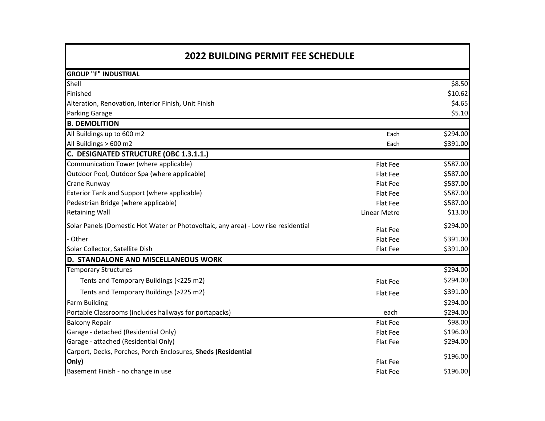| <b>2022 BUILDING PERMIT FEE SCHEDULE</b>                                           |              |          |
|------------------------------------------------------------------------------------|--------------|----------|
| <b>GROUP "F" INDUSTRIAL</b>                                                        |              |          |
| Shell                                                                              |              | \$8.50   |
| Finished                                                                           |              | \$10.62  |
| Alteration, Renovation, Interior Finish, Unit Finish                               |              | \$4.65   |
| <b>Parking Garage</b>                                                              |              | \$5.10   |
| <b>B. DEMOLITION</b>                                                               |              |          |
| All Buildings up to 600 m2                                                         | Each         | \$294.00 |
| All Buildings > 600 m2                                                             | Each         | \$391.00 |
| C. DESIGNATED STRUCTURE (OBC 1.3.1.1.)                                             |              |          |
| Communication Tower (where applicable)                                             | Flat Fee     | \$587.00 |
| Outdoor Pool, Outdoor Spa (where applicable)                                       | Flat Fee     | \$587.00 |
| Crane Runway                                                                       | Flat Fee     | \$587.00 |
| Exterior Tank and Support (where applicable)                                       | Flat Fee     | \$587.00 |
| Pedestrian Bridge (where applicable)                                               | Flat Fee     | \$587.00 |
| <b>Retaining Wall</b>                                                              | Linear Metre | \$13.00  |
| Solar Panels (Domestic Hot Water or Photovoltaic, any area) - Low rise residential | Flat Fee     | \$294.00 |
| Other                                                                              | Flat Fee     | \$391.00 |
| Solar Collector, Satellite Dish                                                    | Flat Fee     | \$391.00 |
| D. STANDALONE AND MISCELLANEOUS WORK                                               |              |          |
| <b>Temporary Structures</b>                                                        |              | \$294.00 |
| Tents and Temporary Buildings (<225 m2)                                            | Flat Fee     | \$294.00 |
| Tents and Temporary Buildings (>225 m2)                                            | Flat Fee     | \$391.00 |
| <b>Farm Building</b>                                                               |              | \$294.00 |
| Portable Classrooms (includes hallways for portapacks)                             | each         | \$294.00 |
| <b>Balcony Repair</b>                                                              | Flat Fee     | \$98.00  |
| Garage - detached (Residential Only)                                               | Flat Fee     | \$196.00 |
| Garage - attached (Residential Only)                                               | Flat Fee     | \$294.00 |
| Carport, Decks, Porches, Porch Enclosures, Sheds (Residential                      |              | \$196.00 |
| Only)                                                                              | Flat Fee     |          |
| Basement Finish - no change in use                                                 | Flat Fee     | \$196.00 |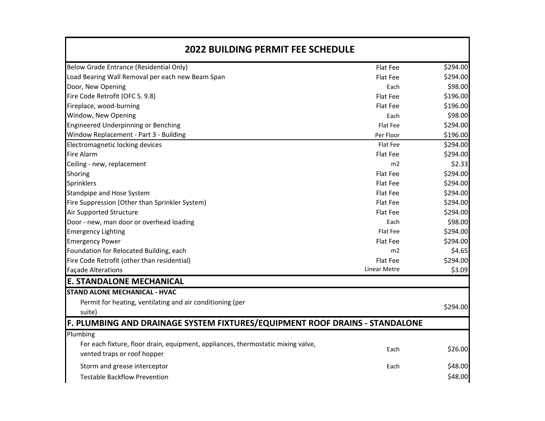| <b>2022 BUILDING PERMIT FEE SCHEDULE</b>                                         |                     |          |
|----------------------------------------------------------------------------------|---------------------|----------|
| Below Grade Entrance (Residential Only)                                          | Flat Fee            | \$294.00 |
| Load Bearing Wall Removal per each new Beam Span                                 | Flat Fee            | \$294.00 |
| Door, New Opening                                                                | Each                | \$98.00  |
| Fire Code Retrofit (OFC S. 9.8)                                                  | Flat Fee            | \$196.00 |
| Fireplace, wood-burning                                                          | Flat Fee            | \$196.00 |
| Window, New Opening                                                              | Each                | \$98.00  |
| Engineered Underpinning or Benching                                              | Flat Fee            | \$294.00 |
| Window Replacement - Part 3 - Building                                           | Per Floor           | \$196.00 |
| Electromagnetic locking devices                                                  | Flat Fee            | \$294.00 |
| <b>Fire Alarm</b>                                                                | Flat Fee            | \$294.00 |
| Ceiling - new, replacement                                                       | m2                  | \$2.33   |
| Shoring                                                                          | Flat Fee            | \$294.00 |
| Sprinklers                                                                       | Flat Fee            | \$294.00 |
| Standpipe and Hose System                                                        | Flat Fee            | \$294.00 |
| Fire Suppression (Other than Sprinkler System)                                   | Flat Fee            | \$294.00 |
| Air Supported Structure                                                          | Flat Fee            | \$294.00 |
| Door - new, man door or overhead loading                                         | Each                | \$98.00  |
| <b>Emergency Lighting</b>                                                        | Flat Fee            | \$294.00 |
| <b>Emergency Power</b>                                                           | Flat Fee            | \$294.00 |
| Foundation for Relocated Building, each                                          | m2                  | \$4.65   |
| Fire Code Retrofit (other than residential)                                      | Flat Fee            | \$294.00 |
| <b>Façade Alterations</b>                                                        | <b>Linear Metre</b> | \$3.09   |
| <b>E. STANDALONE MECHANICAL</b>                                                  |                     |          |
| <b>STAND ALONE MECHANICAL - HVAC</b>                                             |                     |          |
| Permit for heating, ventilating and air conditioning (per                        |                     | \$294.00 |
| suite)                                                                           |                     |          |
| F. PLUMBING AND DRAINAGE SYSTEM FIXTURES/EQUIPMENT ROOF DRAINS - STANDALONE      |                     |          |
| Plumbing                                                                         |                     |          |
| For each fixture, floor drain, equipment, appliances, thermostatic mixing valve, |                     |          |
| vented traps or roof hopper                                                      | Each                | \$26.00  |
| Storm and grease interceptor                                                     | Each                | \$48.00  |
| <b>Testable Backflow Prevention</b>                                              |                     | \$48.00  |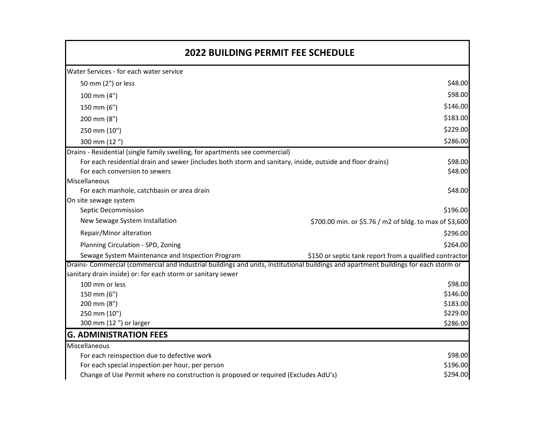| <b>2022 BUILDING PERMIT FEE SCHEDULE</b>                                                                                             |                                                         |          |
|--------------------------------------------------------------------------------------------------------------------------------------|---------------------------------------------------------|----------|
| Water Services - for each water service                                                                                              |                                                         |          |
| 50 mm (2") or less                                                                                                                   |                                                         | \$48.00  |
| 100 mm (4")                                                                                                                          |                                                         | \$98.00  |
| 150 mm (6")                                                                                                                          |                                                         | \$146.00 |
| 200 mm (8")                                                                                                                          |                                                         | \$183.00 |
| 250 mm (10")                                                                                                                         |                                                         | \$229.00 |
| 300 mm (12")                                                                                                                         |                                                         | \$286.00 |
| Drains - Residential (single family swelling, for apartments see commercial)                                                         |                                                         |          |
| For each residential drain and sewer (includes both storm and sanitary, inside, outside and floor drains)                            |                                                         | \$98.00  |
| For each conversion to sewers                                                                                                        |                                                         | \$48.00  |
| Miscellaneous                                                                                                                        |                                                         |          |
| For each manhole, catchbasin or area drain                                                                                           |                                                         | \$48.00  |
| On site sewage system                                                                                                                |                                                         |          |
| Septic Decommission                                                                                                                  |                                                         | \$196.00 |
| New Sewage System Installation                                                                                                       | \$700.00 min. or \$5.76 / m2 of bldg. to max of \$3,600 |          |
| Repair/Minor alteration                                                                                                              |                                                         | \$296.00 |
| Planning Circulation - SPD, Zoning                                                                                                   |                                                         | \$264.00 |
| Sewage System Maintenance and Inspection Program                                                                                     | \$150 or septic tank report from a qualified contractor |          |
| Drains- Commercial (commercial and industrial buildings and units, institutional buildings and apartment buildings for each storm or |                                                         |          |
| sanitary drain inside) or: for each storm or sanitary sewer                                                                          |                                                         |          |
| 100 mm or less                                                                                                                       |                                                         | \$98.00  |
| 150 mm (6")                                                                                                                          |                                                         | \$146.00 |
| 200 mm (8")                                                                                                                          |                                                         | \$183.00 |
| 250 mm (10")                                                                                                                         |                                                         | \$229.00 |
| 300 mm (12 ") or larger                                                                                                              |                                                         | \$286.00 |
| <b>G. ADMINISTRATION FEES</b>                                                                                                        |                                                         |          |
| Miscellaneous                                                                                                                        |                                                         |          |
| For each reinspection due to defective work                                                                                          |                                                         | \$98.00  |
| For each special inspection per hour, per person                                                                                     |                                                         | \$196.00 |
| Change of Use Permit where no construction is proposed or required (Excludes AdU's)                                                  |                                                         | \$294.00 |